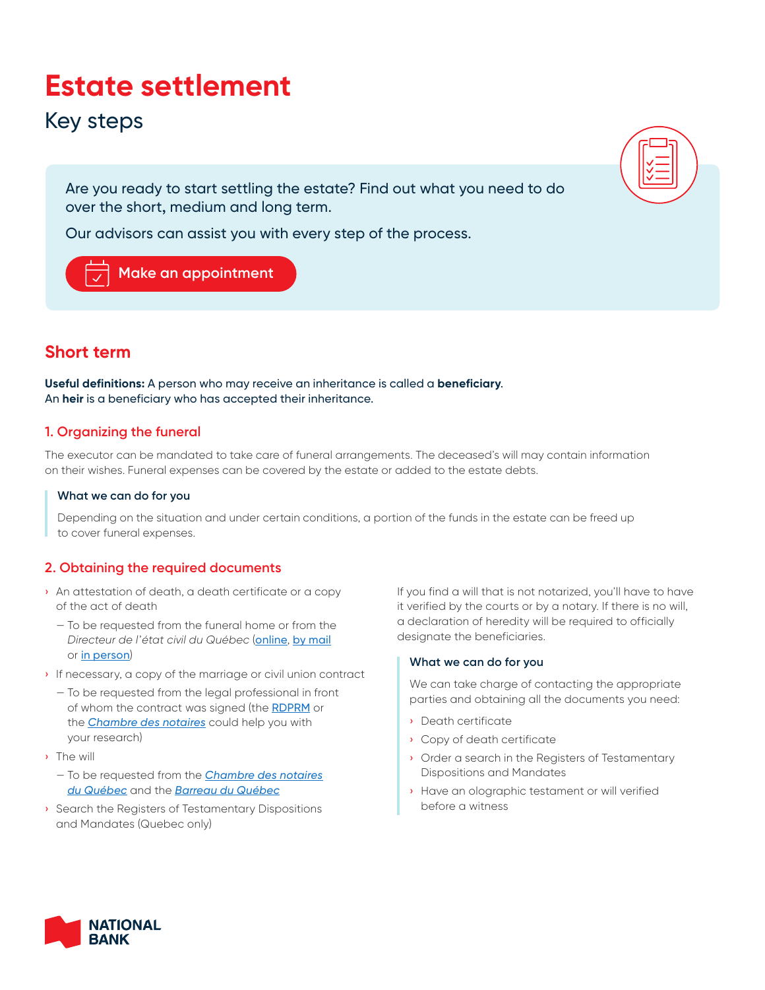# **Estate settlement**

## Key steps

Are you ready to start settling the estate? Find out what you need to do over the short, medium and long term.

Our advisors can assist you with every step of the process.

## **[Make an appointment](https://www.nbc.ca/tools-apps/meeting-request.html)**

## **Short term**

**Useful definitions:** A person who may receive an inheritance is called a **beneficiary**. An **heir** is a beneficiary who has accepted their inheritance.

#### **1. Organizing the funeral**

The executor can be mandated to take care of funeral arrangements. The deceased's will may contain information on their wishes. Funeral expenses can be covered by the estate or added to the estate debts.

#### **What we can do for you**

Depending on the situation and under certain conditions, a portion of the funds in the estate can be freed up to cover funeral expenses.

#### **2. Obtaining the required documents**

- › An attestation of death, a death certificate or a copy of the act of death
	- To be requested from the funeral home or from the *Directeur de l'état civil du Québec* ([online](https://services.etatcivil.gouv.qc.ca/DEClic2/index.aspx?lang=en), [by mail](http://www.etatcivil.gouv.qc.ca/en/certificate-copy/By_mail.html) or [in person](http://www.etatcivil.gouv.qc.ca/en/certificate-copy/By_Declic.html))
- › If necessary, a copy of the marriage or civil union contract
	- To be requested from the legal professional in front of whom the contract was signed (the [RDPRM](https://www.rdprm.gouv.qc.ca/en/pages/english.html) or the *[Chambre des notaires](https://www.cnq.org/)* could help you with your research)
- › The will
	- To be requested from the *[Chambre des notaires](https://www.cnq.org/en/registers-testamentary-mandates-search.html) [du Québec](https://www.cnq.org/en/registers-testamentary-mandates-search.html)* and the *[Barreau du Québec](https://www.barreau.qc.ca/en/wills-mandates/search/)*
- › Search the Registers of Testamentary Dispositions and Mandates (Quebec only)

If you find a will that is not notarized, you'll have to have it verified by the courts or by a notary. If there is no will, a declaration of heredity will be required to officially designate the beneficiaries.

#### **What we can do for you**

We can take charge of contacting the appropriate parties and obtaining all the documents you need:

- › Death certificate
- › Copy of death certificate
- › Order a search in the Registers of Testamentary Dispositions and Mandates
- › Have an olographic testament or will verified before a witness

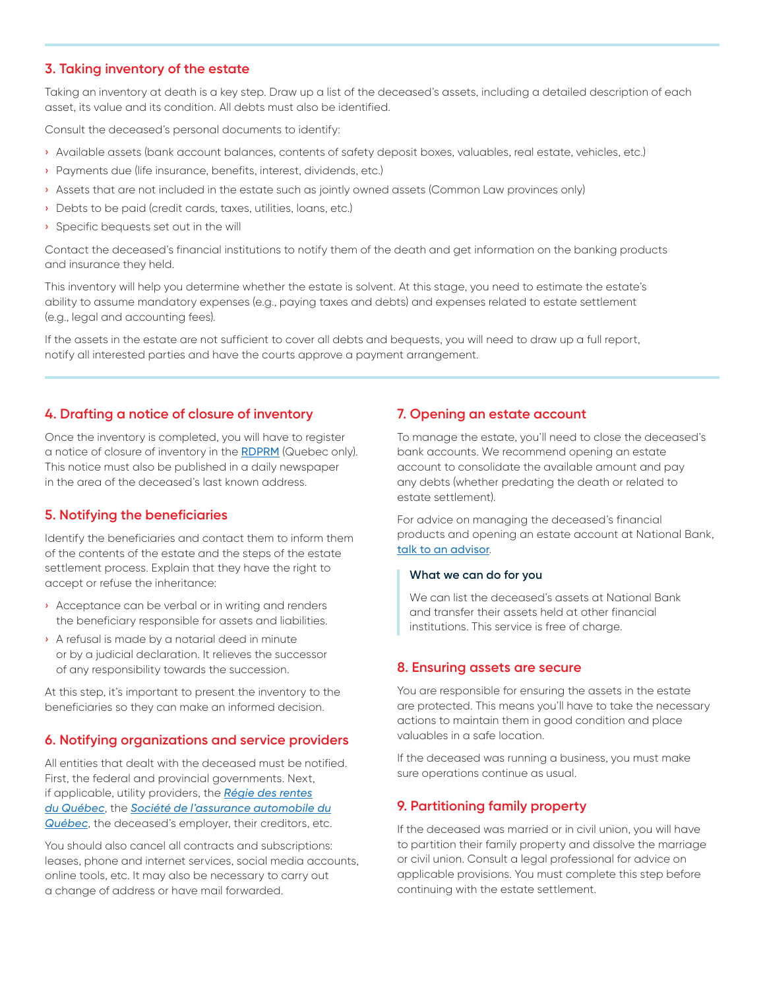#### **3. Taking inventory of the estate**

Taking an inventory at death is a key step. Draw up a list of the deceased's assets, including a detailed description of each asset, its value and its condition. All debts must also be identified.

Consult the deceased's personal documents to identify:

- › Available assets (bank account balances, contents of safety deposit boxes, valuables, real estate, vehicles, etc.)
- › Payments due (life insurance, benefits, interest, dividends, etc.)
- › Assets that are not included in the estate such as jointly owned assets (Common Law provinces only)
- › Debts to be paid (credit cards, taxes, utilities, loans, etc.)
- › Specific bequests set out in the will

Contact the deceased's financial institutions to notify them of the death and get information on the banking products and insurance they held.

This inventory will help you determine whether the estate is solvent. At this stage, you need to estimate the estate's ability to assume mandatory expenses (e.g., paying taxes and debts) and expenses related to estate settlement (e.g., legal and accounting fees).

If the assets in the estate are not sufficient to cover all debts and bequests, you will need to draw up a full report, notify all interested parties and have the courts approve a payment arrangement.

#### **4. Drafting a notice of closure of inventory**

Once the inventory is completed, you will have to register a notice of closure of inventory in the [RDPRM](https://www.rdprm.gouv.qc.ca/en/pages/english.html) (Quebec only). This notice must also be published in a daily newspaper in the area of the deceased's last known address.

#### **5. Notifying the beneficiaries**

Identify the beneficiaries and contact them to inform them of the contents of the estate and the steps of the estate settlement process. Explain that they have the right to accept or refuse the inheritance:

- › Acceptance can be verbal or in writing and renders the beneficiary responsible for assets and liabilities.
- › A refusal is made by a notarial deed in minute or by a judicial declaration. It relieves the successor of any responsibility towards the succession.

At this step, it's important to present the inventory to the beneficiaries so they can make an informed decision.

#### **6. Notifying organizations and service providers**

All entities that dealt with the deceased must be notified. First, the federal and provincial governments. Next, if applicable, utility providers, the *[Régie des rentes](https://www.retraitequebec.gouv.qc.ca/en/deces/Pages/liquidateur.aspx) [du Québec](https://www.retraitequebec.gouv.qc.ca/en/deces/Pages/liquidateur.aspx)*, the *[Société de l'assurance automobile du](https://saaq.gouv.qc.ca/en/) [Québec](https://saaq.gouv.qc.ca/en/)*, the deceased's employer, their creditors, etc.

You should also cancel all contracts and subscriptions: leases, phone and internet services, social media accounts, online tools, etc. It may also be necessary to carry out a change of address or have mail forwarded.

#### **7. Opening an estate account**

To manage the estate, you'll need to close the deceased's bank accounts. We recommend opening an estate account to consolidate the available amount and pay any debts (whether predating the death or related to estate settlement).

For advice on managing the deceased's financial products and opening an estate account at National Bank, [talk to an advisor](https://www.nbc.ca/contact-us.html).

#### **What we can do for you**

We can list the deceased's assets at National Bank and transfer their assets held at other financial institutions. This service is free of charge.

#### **8. Ensuring assets are secure**

You are responsible for ensuring the assets in the estate are protected. This means you'll have to take the necessary actions to maintain them in good condition and place valuables in a safe location.

If the deceased was running a business, you must make sure operations continue as usual.

#### **9. Partitioning family property**

If the deceased was married or in civil union, you will have to partition their family property and dissolve the marriage or civil union. Consult a legal professional for advice on applicable provisions. You must complete this step before continuing with the estate settlement.